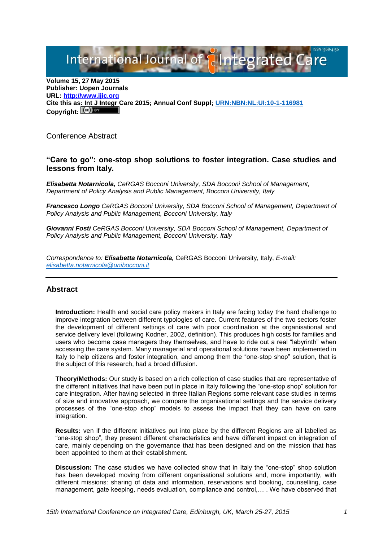International Journal of **Plantegrated Care** 

**Volume 15, 27 May 2015 Publisher: Uopen Journals URL: [http://www.ijic.org](http://www.ijic.org/) Cite this as: Int J Integr Care 2015; Annual Conf Suppl; [URN:NBN:NL:UI:10-1-116981](http://persistent-identifier.nl/?identifier=URN:NBN:NL:UI:10-1-116981)** Copyright:  $(cc)$  BY

Conference Abstract

# **"Care to go": one-stop shop solutions to foster integration. Case studies and lessons from Italy.**

*Elisabetta Notarnicola, CeRGAS Bocconi University, SDA Bocconi School of Management, Department of Policy Analysis and Public Management, Bocconi University, Italy*

*Francesco Longo CeRGAS Bocconi University, SDA Bocconi School of Management, Department of Policy Analysis and Public Management, Bocconi University, Italy*

*Giovanni Fosti CeRGAS Bocconi University, SDA Bocconi School of Management, Department of Policy Analysis and Public Management, Bocconi University, Italy*

*Correspondence to: Elisabetta Notarnicola,* CeRGAS Bocconi University, Italy, *E-mail: [elisabetta.notarnicola@unibocconi.it](mailto:elisabetta.notarnicola@unibocconi.it)*

## **Abstract**

**Introduction:** Health and social care policy makers in Italy are facing today the hard challenge to improve integration between different typologies of care. Current features of the two sectors foster the development of different settings of care with poor coordination at the organisational and service delivery level (following Kodner, 2002, definition). This produces high costs for families and users who become case managers they themselves, and have to ride out a real "labyrinth" when accessing the care system. Many managerial and operational solutions have been implemented in Italy to help citizens and foster integration, and among them the "one-stop shop" solution, that is the subject of this research, had a broad diffusion.

**Theory/Methods:** Our study is based on a rich collection of case studies that are representative of the different initiatives that have been put in place in Italy following the "one-stop shop" solution for care integration. After having selected in three Italian Regions some relevant case studies in terms of size and innovative approach, we compare the organisational settings and the service delivery processes of the "one-stop shop" models to assess the impact that they can have on care integration.

**Results:** ven if the different initiatives put into place by the different Regions are all labelled as "one-stop shop", they present different characteristics and have different impact on integration of care, mainly depending on the governance that has been designed and on the mission that has been appointed to them at their establishment.

**Discussion:** The case studies we have collected show that in Italy the "one-stop" shop solution has been developed moving from different organisational solutions and, more importantly, with different missions: sharing of data and information, reservations and booking, counselling, case management, gate keeping, needs evaluation, compliance and control,… . We have observed that